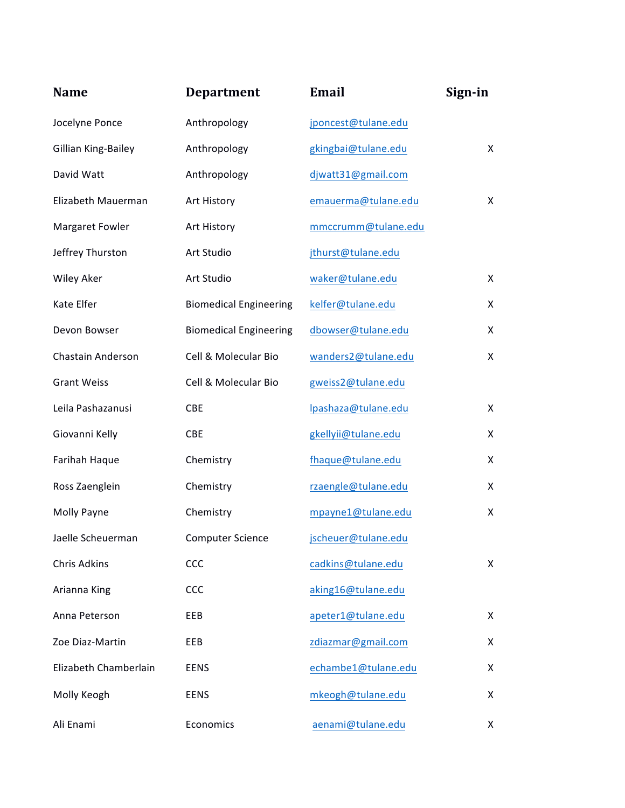| <b>Name</b>           | <b>Department</b>             | <b>Email</b>        | Sign-in |
|-----------------------|-------------------------------|---------------------|---------|
| Jocelyne Ponce        | Anthropology                  | jponcest@tulane.edu |         |
| Gillian King-Bailey   | Anthropology                  | gkingbai@tulane.edu | X       |
| David Watt            | Anthropology                  | djwatt31@gmail.com  |         |
| Elizabeth Mauerman    | Art History                   | emauerma@tulane.edu | X       |
| Margaret Fowler       | Art History                   | mmccrumm@tulane.edu |         |
| Jeffrey Thurston      | Art Studio                    | jthurst@tulane.edu  |         |
| <b>Wiley Aker</b>     | Art Studio                    | waker@tulane.edu    | X       |
| Kate Elfer            | <b>Biomedical Engineering</b> | kelfer@tulane.edu   | X       |
| Devon Bowser          | <b>Biomedical Engineering</b> | dbowser@tulane.edu  | X       |
| Chastain Anderson     | Cell & Molecular Bio          | wanders2@tulane.edu | X       |
| <b>Grant Weiss</b>    | Cell & Molecular Bio          | gweiss2@tulane.edu  |         |
| Leila Pashazanusi     | CBE                           | lpashaza@tulane.edu | X       |
| Giovanni Kelly        | <b>CBE</b>                    | gkellyii@tulane.edu | X       |
| Farihah Haque         | Chemistry                     | fhaque@tulane.edu   | X       |
| Ross Zaenglein        | Chemistry                     | rzaengle@tulane.edu | X       |
| Molly Payne           | Chemistry                     | mpayne1@tulane.edu  | X       |
| Jaelle Scheuerman     | <b>Computer Science</b>       | jscheuer@tulane.edu |         |
| <b>Chris Adkins</b>   | CCC                           | cadkins@tulane.edu  | X       |
| Arianna King          | CCC                           | aking16@tulane.edu  |         |
| Anna Peterson         | EEB                           | apeter1@tulane.edu  | X       |
| Zoe Diaz-Martin       | EEB                           | zdiazmar@gmail.com  | X       |
| Elizabeth Chamberlain | <b>EENS</b>                   | echambe1@tulane.edu | X       |
| Molly Keogh           | <b>EENS</b>                   | mkeogh@tulane.edu   | X       |
| Ali Enami             | Economics                     | aenami@tulane.edu   | X.      |